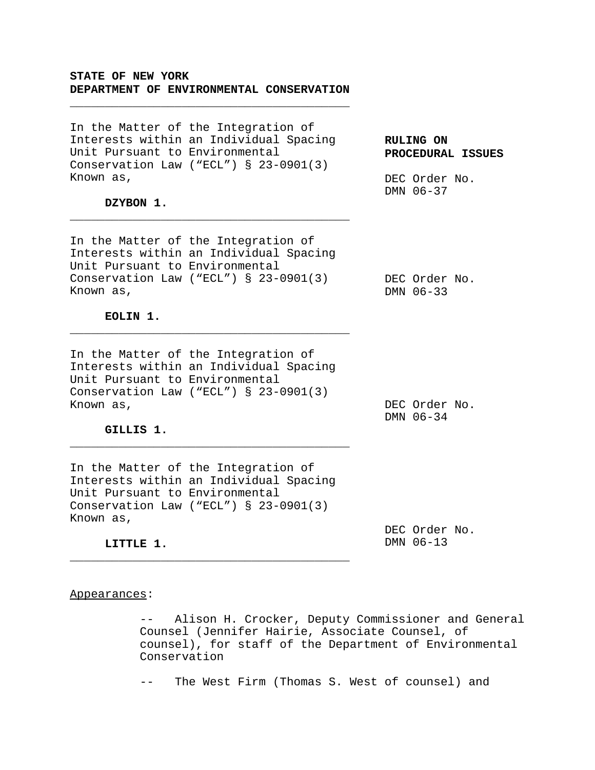# **STATE OF NEW YORK DEPARTMENT OF ENVIRONMENTAL CONSERVATION**

\_\_\_\_\_\_\_\_\_\_\_\_\_\_\_\_\_\_\_\_\_\_\_\_\_\_\_\_\_\_\_\_\_\_\_\_\_\_\_\_

In the Matter of the Integration of Interests within an Individual Spacing Unit Pursuant to Environmental Conservation Law ("ECL") § 23-0901(3) Known as,

**DZYBON 1.**

In the Matter of the Integration of Interests within an Individual Spacing Unit Pursuant to Environmental Conservation Law ("ECL") § 23-0901(3) Known as,

\_\_\_\_\_\_\_\_\_\_\_\_\_\_\_\_\_\_\_\_\_\_\_\_\_\_\_\_\_\_\_\_\_\_\_\_\_\_\_\_

DEC Order No. DMN 06-37

**PROCEDURAL ISSUES**

**RULING ON**

DEC Order No. DMN 06-33

**EOLIN 1.**

In the Matter of the Integration of Interests within an Individual Spacing Unit Pursuant to Environmental Conservation Law ("ECL") § 23-0901(3) Known as,

\_\_\_\_\_\_\_\_\_\_\_\_\_\_\_\_\_\_\_\_\_\_\_\_\_\_\_\_\_\_\_\_\_\_\_\_\_\_\_\_

DEC Order No. DMN 06-34

**GILLIS 1.**

In the Matter of the Integration of Interests within an Individual Spacing Unit Pursuant to Environmental Conservation Law ("ECL") § 23-0901(3) Known as,

\_\_\_\_\_\_\_\_\_\_\_\_\_\_\_\_\_\_\_\_\_\_\_\_\_\_\_\_\_\_\_\_\_\_\_\_\_\_\_\_

DEC Order No. DMN 06-13

**LITTLE 1.** \_\_\_\_\_\_\_\_\_\_\_\_\_\_\_\_\_\_\_\_\_\_\_\_\_\_\_\_\_\_\_\_\_\_\_\_\_\_\_\_

#### Appearances:

-- Alison H. Crocker, Deputy Commissioner and General Counsel (Jennifer Hairie, Associate Counsel, of counsel), for staff of the Department of Environmental Conservation

-- The West Firm (Thomas S. West of counsel) and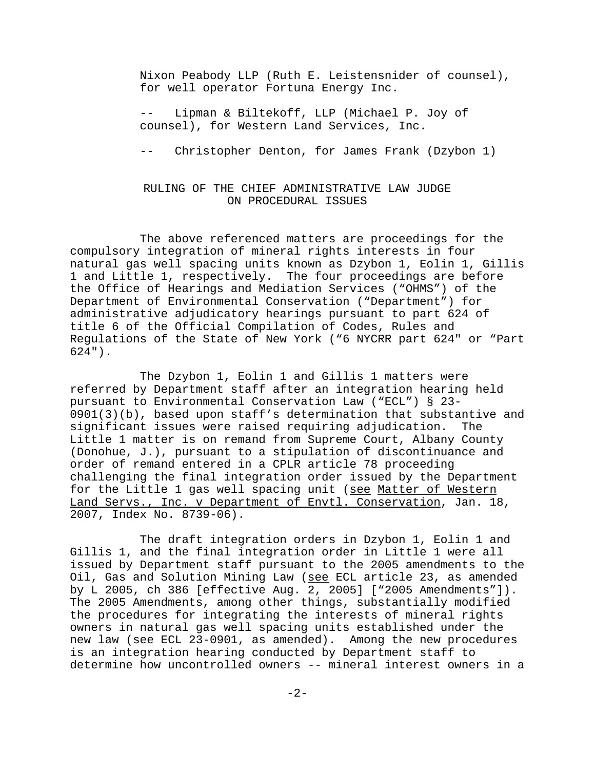Nixon Peabody LLP (Ruth E. Leistensnider of counsel), for well operator Fortuna Energy Inc.

Lipman & Biltekoff, LLP (Michael P. Joy of counsel), for Western Land Services, Inc.

-- Christopher Denton, for James Frank (Dzybon 1)

### RULING OF THE CHIEF ADMINISTRATIVE LAW JUDGE ON PROCEDURAL ISSUES

The above referenced matters are proceedings for the compulsory integration of mineral rights interests in four natural gas well spacing units known as Dzybon 1, Eolin 1, Gillis 1 and Little 1, respectively. The four proceedings are before the Office of Hearings and Mediation Services ("OHMS") of the Department of Environmental Conservation ("Department") for administrative adjudicatory hearings pursuant to part 624 of title 6 of the Official Compilation of Codes, Rules and Regulations of the State of New York ("6 NYCRR part 624" or "Part 624").

The Dzybon 1, Eolin 1 and Gillis 1 matters were referred by Department staff after an integration hearing held pursuant to Environmental Conservation Law ("ECL") § 23- 0901(3)(b), based upon staff's determination that substantive and significant issues were raised requiring adjudication. The Little 1 matter is on remand from Supreme Court, Albany County (Donohue, J.), pursuant to a stipulation of discontinuance and order of remand entered in a CPLR article 78 proceeding challenging the final integration order issued by the Department for the Little 1 gas well spacing unit (see Matter of Western Land Servs., Inc. v Department of Envtl. Conservation, Jan. 18, 2007, Index No. 8739-06).

The draft integration orders in Dzybon 1, Eolin 1 and Gillis 1, and the final integration order in Little 1 were all issued by Department staff pursuant to the 2005 amendments to the Oil, Gas and Solution Mining Law (see ECL article 23, as amended by L 2005, ch 386 [effective Aug. 2, 2005] ["2005 Amendments"]). The 2005 Amendments, among other things, substantially modified the procedures for integrating the interests of mineral rights owners in natural gas well spacing units established under the new law (see ECL 23-0901, as amended). Among the new procedures is an integration hearing conducted by Department staff to determine how uncontrolled owners -- mineral interest owners in a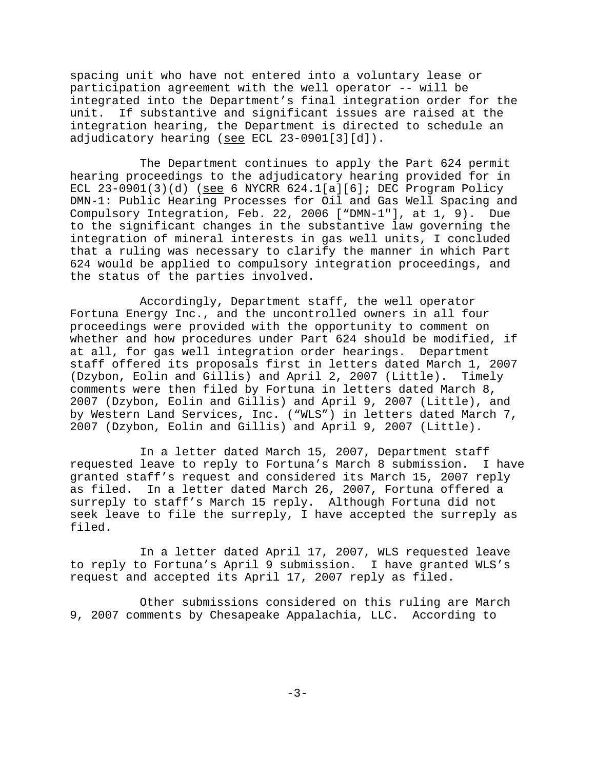spacing unit who have not entered into a voluntary lease or participation agreement with the well operator -- will be integrated into the Department's final integration order for the unit. If substantive and significant issues are raised at the integration hearing, the Department is directed to schedule an adjudicatory hearing (see ECL 23-0901[3][d]).

The Department continues to apply the Part 624 permit hearing proceedings to the adjudicatory hearing provided for in ECL  $23-0901(3)(d)$  (see 6 NYCRR  $624.1[a][6]$ ; DEC Program Policy DMN-1: Public Hearing Processes for Oil and Gas Well Spacing and Compulsory Integration, Feb. 22, 2006 ["DMN-1"], at 1, 9). Due to the significant changes in the substantive law governing the integration of mineral interests in gas well units, I concluded that a ruling was necessary to clarify the manner in which Part 624 would be applied to compulsory integration proceedings, and the status of the parties involved.

Accordingly, Department staff, the well operator Fortuna Energy Inc., and the uncontrolled owners in all four proceedings were provided with the opportunity to comment on whether and how procedures under Part 624 should be modified, if at all, for gas well integration order hearings. Department staff offered its proposals first in letters dated March 1, 2007 (Dzybon, Eolin and Gillis) and April 2, 2007 (Little). Timely comments were then filed by Fortuna in letters dated March 8, 2007 (Dzybon, Eolin and Gillis) and April 9, 2007 (Little), and by Western Land Services, Inc. ("WLS") in letters dated March 7, 2007 (Dzybon, Eolin and Gillis) and April 9, 2007 (Little).

In a letter dated March 15, 2007, Department staff requested leave to reply to Fortuna's March 8 submission. I have granted staff's request and considered its March 15, 2007 reply as filed. In a letter dated March 26, 2007, Fortuna offered a surreply to staff's March 15 reply. Although Fortuna did not seek leave to file the surreply, I have accepted the surreply as filed.

In a letter dated April 17, 2007, WLS requested leave to reply to Fortuna's April 9 submission. I have granted WLS's request and accepted its April 17, 2007 reply as filed.

Other submissions considered on this ruling are March 9, 2007 comments by Chesapeake Appalachia, LLC. According to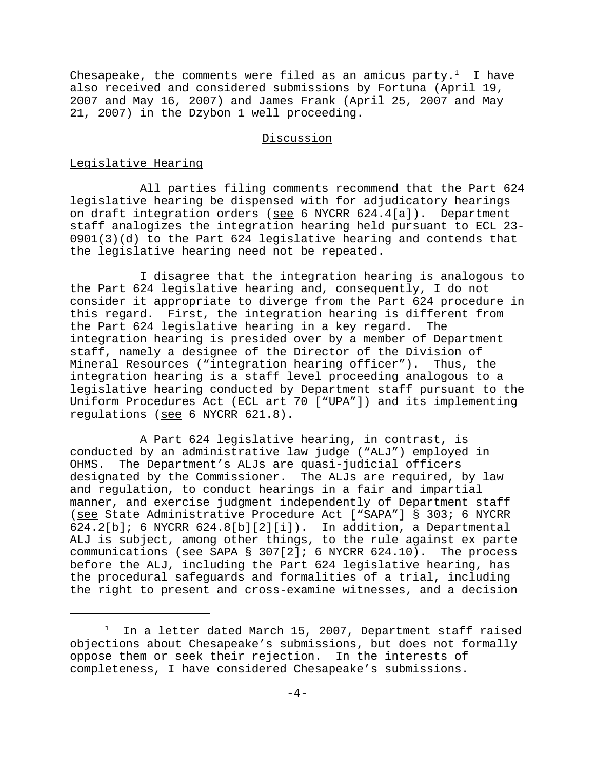Chesapeake, the comments were filed as an amicus party.<sup>1</sup> I have also received and considered submissions by Fortuna (April 19, 2007 and May 16, 2007) and James Frank (April 25, 2007 and May 21, 2007) in the Dzybon 1 well proceeding.

### Discussion

### Legislative Hearing

All parties filing comments recommend that the Part 624 legislative hearing be dispensed with for adjudicatory hearings on draft integration orders (see 6 NYCRR 624.4[a]). Department staff analogizes the integration hearing held pursuant to ECL 23- 0901(3)(d) to the Part 624 legislative hearing and contends that the legislative hearing need not be repeated.

I disagree that the integration hearing is analogous to the Part 624 legislative hearing and, consequently, I do not consider it appropriate to diverge from the Part 624 procedure in this regard. First, the integration hearing is different from the Part 624 legislative hearing in a key regard. The integration hearing is presided over by a member of Department staff, namely a designee of the Director of the Division of Mineral Resources ("integration hearing officer"). Thus, the integration hearing is a staff level proceeding analogous to a legislative hearing conducted by Department staff pursuant to the Uniform Procedures Act (ECL art 70 ["UPA"]) and its implementing regulations (see 6 NYCRR 621.8).

A Part 624 legislative hearing, in contrast, is conducted by an administrative law judge ("ALJ") employed in OHMS. The Department's ALJs are quasi-judicial officers designated by the Commissioner. The ALJs are required, by law and regulation, to conduct hearings in a fair and impartial manner, and exercise judgment independently of Department staff (see State Administrative Procedure Act ["SAPA"] § 303; 6 NYCRR 624.2[b]; 6 NYCRR 624.8[b][2][i]). In addition, a Departmental ALJ is subject, among other things, to the rule against ex parte communications (see SAPA § 307[2]; 6 NYCRR 624.10). The process before the ALJ, including the Part 624 legislative hearing, has the procedural safeguards and formalities of a trial, including the right to present and cross-examine witnesses, and a decision

 $1$  In a letter dated March 15, 2007, Department staff raised objections about Chesapeake's submissions, but does not formally oppose them or seek their rejection. In the interests of completeness, I have considered Chesapeake's submissions.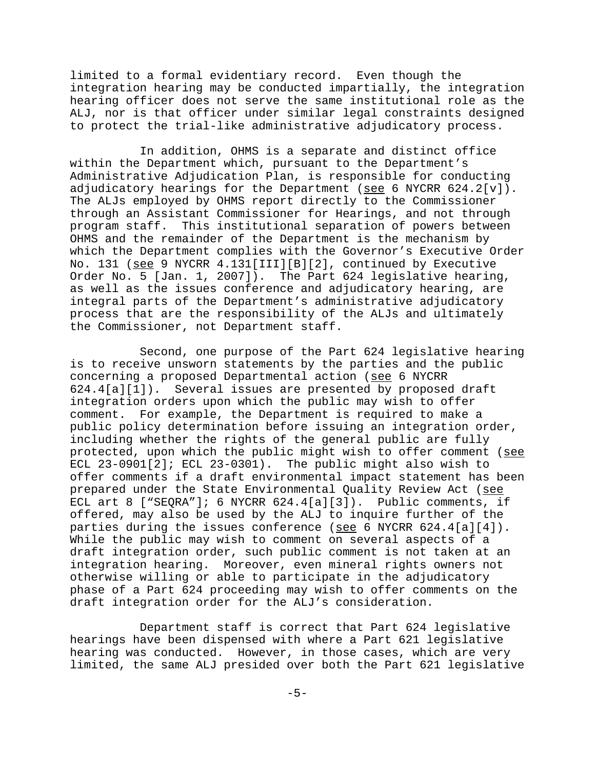limited to a formal evidentiary record. Even though the integration hearing may be conducted impartially, the integration hearing officer does not serve the same institutional role as the ALJ, nor is that officer under similar legal constraints designed to protect the trial-like administrative adjudicatory process.

In addition, OHMS is a separate and distinct office within the Department which, pursuant to the Department's Administrative Adjudication Plan, is responsible for conducting adjudicatory hearings for the Department (see 6 NYCRR 624.2[v]). The ALJs employed by OHMS report directly to the Commissioner through an Assistant Commissioner for Hearings, and not through program staff. This institutional separation of powers between OHMS and the remainder of the Department is the mechanism by which the Department complies with the Governor's Executive Order No. 131 (see 9 NYCRR 4.131[III][B][2], continued by Executive Order No. 5 [Jan. 1, 2007]). The Part 624 legislative hearing, as well as the issues conference and adjudicatory hearing, are integral parts of the Department's administrative adjudicatory process that are the responsibility of the ALJs and ultimately the Commissioner, not Department staff.

Second, one purpose of the Part 624 legislative hearing is to receive unsworn statements by the parties and the public concerning a proposed Departmental action (see 6 NYCRR 624.4[a][1]). Several issues are presented by proposed draft integration orders upon which the public may wish to offer comment. For example, the Department is required to make a public policy determination before issuing an integration order, including whether the rights of the general public are fully protected, upon which the public might wish to offer comment (see ECL 23-0901[2]; ECL 23-0301). The public might also wish to offer comments if a draft environmental impact statement has been prepared under the State Environmental Quality Review Act (see ECL art 8 ["SEQRA"]; 6 NYCRR 624.4[a][3]). Public comments, if offered, may also be used by the ALJ to inquire further of the parties during the issues conference (see 6 NYCRR  $624.4[a][4]$ ). While the public may wish to comment on several aspects of a draft integration order, such public comment is not taken at an integration hearing. Moreover, even mineral rights owners not otherwise willing or able to participate in the adjudicatory phase of a Part 624 proceeding may wish to offer comments on the draft integration order for the ALJ's consideration.

Department staff is correct that Part 624 legislative hearings have been dispensed with where a Part 621 legislative hearing was conducted. However, in those cases, which are very limited, the same ALJ presided over both the Part 621 legislative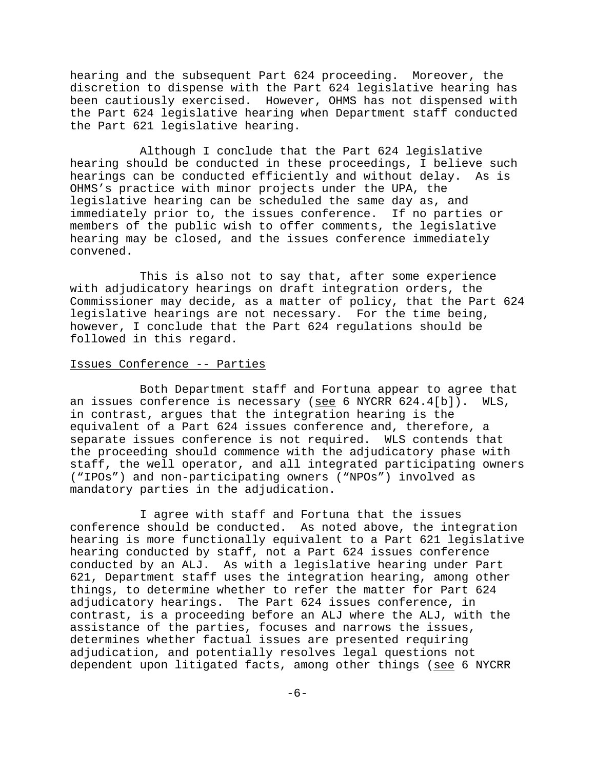hearing and the subsequent Part 624 proceeding. Moreover, the discretion to dispense with the Part 624 legislative hearing has been cautiously exercised. However, OHMS has not dispensed with the Part 624 legislative hearing when Department staff conducted the Part 621 legislative hearing.

Although I conclude that the Part 624 legislative hearing should be conducted in these proceedings, I believe such hearings can be conducted efficiently and without delay. As is OHMS's practice with minor projects under the UPA, the legislative hearing can be scheduled the same day as, and immediately prior to, the issues conference. If no parties or members of the public wish to offer comments, the legislative hearing may be closed, and the issues conference immediately convened.

This is also not to say that, after some experience with adjudicatory hearings on draft integration orders, the Commissioner may decide, as a matter of policy, that the Part 624 legislative hearings are not necessary. For the time being, however, I conclude that the Part 624 regulations should be followed in this regard.

### Issues Conference -- Parties

Both Department staff and Fortuna appear to agree that an issues conference is necessary (see 6 NYCRR 624.4[b]). WLS, in contrast, argues that the integration hearing is the equivalent of a Part 624 issues conference and, therefore, a separate issues conference is not required. WLS contends that the proceeding should commence with the adjudicatory phase with staff, the well operator, and all integrated participating owners ("IPOs") and non-participating owners ("NPOs") involved as mandatory parties in the adjudication.

I agree with staff and Fortuna that the issues conference should be conducted. As noted above, the integration hearing is more functionally equivalent to a Part 621 legislative hearing conducted by staff, not a Part 624 issues conference conducted by an ALJ. As with a legislative hearing under Part 621, Department staff uses the integration hearing, among other things, to determine whether to refer the matter for Part 624 adjudicatory hearings. The Part 624 issues conference, in contrast, is a proceeding before an ALJ where the ALJ, with the assistance of the parties, focuses and narrows the issues, determines whether factual issues are presented requiring adjudication, and potentially resolves legal questions not dependent upon litigated facts, among other things (see 6 NYCRR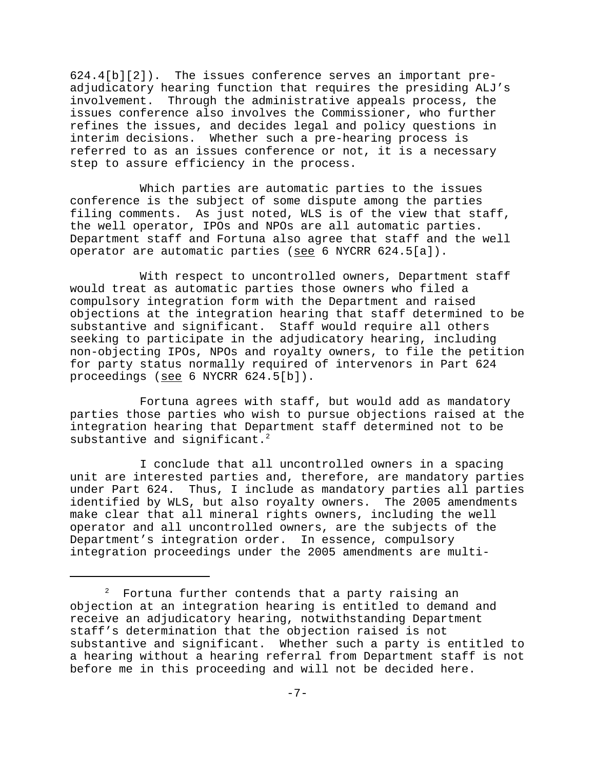624.4[b][2]). The issues conference serves an important preadjudicatory hearing function that requires the presiding ALJ's involvement. Through the administrative appeals process, the issues conference also involves the Commissioner, who further refines the issues, and decides legal and policy questions in interim decisions. Whether such a pre-hearing process is referred to as an issues conference or not, it is a necessary step to assure efficiency in the process.

Which parties are automatic parties to the issues conference is the subject of some dispute among the parties filing comments. As just noted, WLS is of the view that staff, the well operator, IPOs and NPOs are all automatic parties. Department staff and Fortuna also agree that staff and the well operator are automatic parties (see 6 NYCRR 624.5[a]).

With respect to uncontrolled owners, Department staff would treat as automatic parties those owners who filed a compulsory integration form with the Department and raised objections at the integration hearing that staff determined to be substantive and significant. Staff would require all others seeking to participate in the adjudicatory hearing, including non-objecting IPOs, NPOs and royalty owners, to file the petition for party status normally required of intervenors in Part 624 proceedings (see 6 NYCRR 624.5[b]).

Fortuna agrees with staff, but would add as mandatory parties those parties who wish to pursue objections raised at the integration hearing that Department staff determined not to be substantive and significant.<sup>2</sup>

I conclude that all uncontrolled owners in a spacing unit are interested parties and, therefore, are mandatory parties under Part 624. Thus, I include as mandatory parties all parties identified by WLS, but also royalty owners. The 2005 amendments make clear that all mineral rights owners, including the well operator and all uncontrolled owners, are the subjects of the Department's integration order. In essence, compulsory integration proceedings under the 2005 amendments are multi-

 $2$  Fortuna further contends that a party raising an objection at an integration hearing is entitled to demand and receive an adjudicatory hearing, notwithstanding Department staff's determination that the objection raised is not substantive and significant. Whether such a party is entitled to a hearing without a hearing referral from Department staff is not before me in this proceeding and will not be decided here.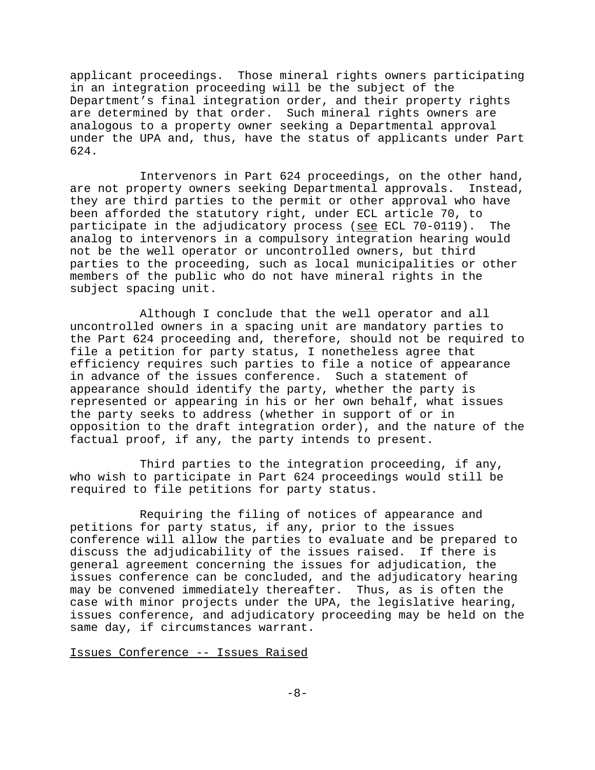applicant proceedings. Those mineral rights owners participating in an integration proceeding will be the subject of the Department's final integration order, and their property rights are determined by that order. Such mineral rights owners are analogous to a property owner seeking a Departmental approval under the UPA and, thus, have the status of applicants under Part 624.

Intervenors in Part 624 proceedings, on the other hand, are not property owners seeking Departmental approvals. Instead, they are third parties to the permit or other approval who have been afforded the statutory right, under ECL article 70, to participate in the adjudicatory process (see ECL 70-0119). The analog to intervenors in a compulsory integration hearing would not be the well operator or uncontrolled owners, but third parties to the proceeding, such as local municipalities or other members of the public who do not have mineral rights in the subject spacing unit.

Although I conclude that the well operator and all uncontrolled owners in a spacing unit are mandatory parties to the Part 624 proceeding and, therefore, should not be required to file a petition for party status, I nonetheless agree that efficiency requires such parties to file a notice of appearance in advance of the issues conference. Such a statement of appearance should identify the party, whether the party is represented or appearing in his or her own behalf, what issues the party seeks to address (whether in support of or in opposition to the draft integration order), and the nature of the factual proof, if any, the party intends to present.

Third parties to the integration proceeding, if any, who wish to participate in Part 624 proceedings would still be required to file petitions for party status.

Requiring the filing of notices of appearance and petitions for party status, if any, prior to the issues conference will allow the parties to evaluate and be prepared to discuss the adjudicability of the issues raised. If there is general agreement concerning the issues for adjudication, the issues conference can be concluded, and the adjudicatory hearing may be convened immediately thereafter. Thus, as is often the case with minor projects under the UPA, the legislative hearing, issues conference, and adjudicatory proceeding may be held on the same day, if circumstances warrant.

### Issues Conference -- Issues Raised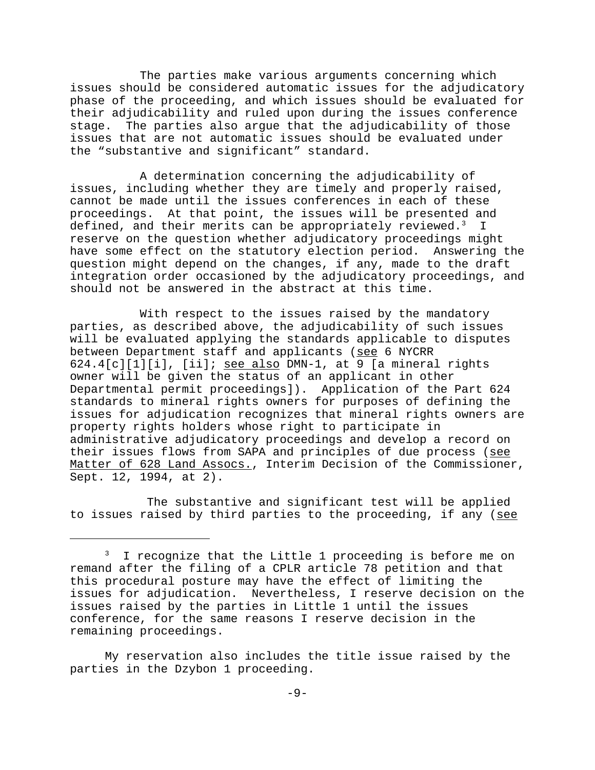The parties make various arguments concerning which issues should be considered automatic issues for the adjudicatory phase of the proceeding, and which issues should be evaluated for their adjudicability and ruled upon during the issues conference stage. The parties also argue that the adjudicability of those issues that are not automatic issues should be evaluated under the "substantive and significant" standard.

A determination concerning the adjudicability of issues, including whether they are timely and properly raised, cannot be made until the issues conferences in each of these proceedings. At that point, the issues will be presented and defined, and their merits can be appropriately reviewed. $^3$  I reserve on the question whether adjudicatory proceedings might have some effect on the statutory election period. Answering the question might depend on the changes, if any, made to the draft integration order occasioned by the adjudicatory proceedings, and should not be answered in the abstract at this time.

With respect to the issues raised by the mandatory parties, as described above, the adjudicability of such issues will be evaluated applying the standards applicable to disputes between Department staff and applicants (see 6 NYCRR 624.4[c][1][i], [ii]; see also DMN-1, at 9 [a mineral rights owner will be given the status of an applicant in other Departmental permit proceedings]). Application of the Part 624 standards to mineral rights owners for purposes of defining the issues for adjudication recognizes that mineral rights owners are property rights holders whose right to participate in administrative adjudicatory proceedings and develop a record on their issues flows from SAPA and principles of due process (see Matter of 628 Land Assocs., Interim Decision of the Commissioner, Sept. 12, 1994, at 2).

 The substantive and significant test will be applied to issues raised by third parties to the proceeding, if any (see

My reservation also includes the title issue raised by the parties in the Dzybon 1 proceeding.

<sup>&</sup>lt;sup>3</sup> I recognize that the Little 1 proceeding is before me on remand after the filing of a CPLR article 78 petition and that this procedural posture may have the effect of limiting the issues for adjudication. Nevertheless, I reserve decision on the issues raised by the parties in Little 1 until the issues conference, for the same reasons I reserve decision in the remaining proceedings.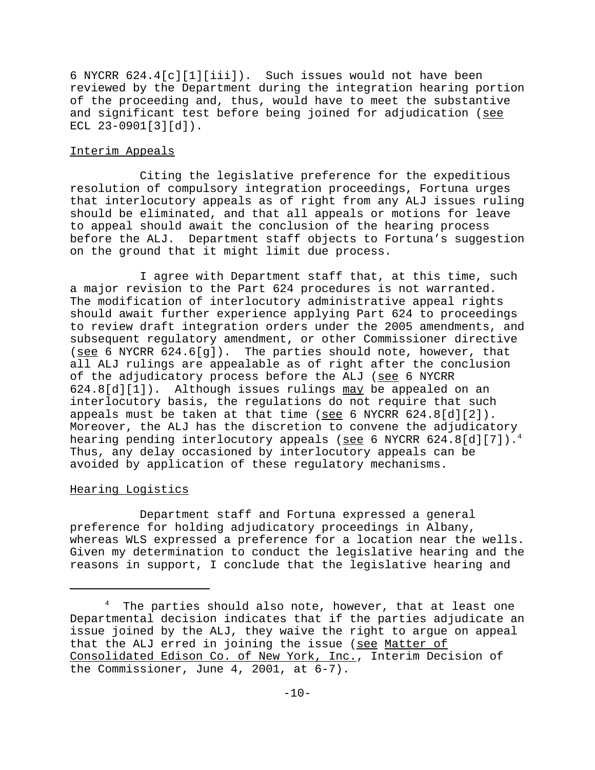6 NYCRR 624.4[c][1][iii]). Such issues would not have been reviewed by the Department during the integration hearing portion of the proceeding and, thus, would have to meet the substantive and significant test before being joined for adjudication (see  $ECL 23-0901[3][d]$ .

### Interim Appeals

Citing the legislative preference for the expeditious resolution of compulsory integration proceedings, Fortuna urges that interlocutory appeals as of right from any ALJ issues ruling should be eliminated, and that all appeals or motions for leave to appeal should await the conclusion of the hearing process before the ALJ. Department staff objects to Fortuna's suggestion on the ground that it might limit due process.

I agree with Department staff that, at this time, such a major revision to the Part 624 procedures is not warranted. The modification of interlocutory administrative appeal rights should await further experience applying Part 624 to proceedings to review draft integration orders under the 2005 amendments, and subsequent regulatory amendment, or other Commissioner directive (see 6 NYCRR  $624.6[g]$ ). The parties should note, however, that all ALJ rulings are appealable as of right after the conclusion of the adjudicatory process before the ALJ (see 6 NYCRR 624.8[d][1]). Although issues rulings may be appealed on an interlocutory basis, the regulations do not require that such appeals must be taken at that time (see 6 NYCRR  $624.8[d][2])$ . Moreover, the ALJ has the discretion to convene the adjudicatory hearing pending interlocutory appeals (see 6 NYCRR 624.8[d][7]).<sup>4</sup> Thus, any delay occasioned by interlocutory appeals can be avoided by application of these regulatory mechanisms.

# Hearing Logistics

Department staff and Fortuna expressed a general preference for holding adjudicatory proceedings in Albany, whereas WLS expressed a preference for a location near the wells. Given my determination to conduct the legislative hearing and the reasons in support, I conclude that the legislative hearing and

 $4$  The parties should also note, however, that at least one Departmental decision indicates that if the parties adjudicate an issue joined by the ALJ, they waive the right to argue on appeal that the ALJ erred in joining the issue (see Matter of Consolidated Edison Co. of New York, Inc., Interim Decision of the Commissioner, June 4, 2001, at 6-7).